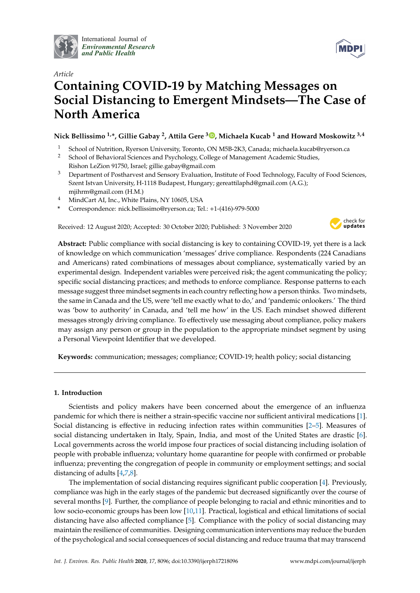

International Journal of *[Environmental Research](http://www.mdpi.com/journal/ijerph) and Public Health*



# *Article* **Containing COVID-19 by Matching Messages on Social Distancing to Emergent Mindsets—The Case of North America**

**Nick Bellissimo 1,\*, Gillie Gabay <sup>2</sup> , Attila Gere <sup>3</sup> [,](https://orcid.org/0000-0003-3075-1561) Michaela Kucab <sup>1</sup> and Howard Moskowitz 3,4**

- <sup>1</sup> School of Nutrition, Ryerson University, Toronto, ON M5B-2K3, Canada; michaela.kucab@ryerson.ca
- <sup>2</sup> School of Behavioral Sciences and Psychology, College of Management Academic Studies, Rishon LeZion 91750, Israel; gillie.gabay@gmail.com
- <sup>3</sup> Department of Postharvest and Sensory Evaluation, Institute of Food Technology, Faculty of Food Sciences, Szent Istvan University, H-1118 Budapest, Hungary; gereattilaphd@gmail.com (A.G.); mjihrm@gmail.com (H.M.)
- <sup>4</sup> MindCart AI, Inc., White Plains, NY 10605, USA
- **\*** Correspondence: nick.bellissimo@ryerson.ca; Tel.: +1-(416)-979-5000

Received: 12 August 2020; Accepted: 30 October 2020; Published: 3 November 2020



**Abstract:** Public compliance with social distancing is key to containing COVID-19, yet there is a lack of knowledge on which communication 'messages' drive compliance. Respondents (224 Canadians and Americans) rated combinations of messages about compliance, systematically varied by an experimental design. Independent variables were perceived risk; the agent communicating the policy; specific social distancing practices; and methods to enforce compliance. Response patterns to each message suggest three mindset segments in each country reflecting how a person thinks. Two mindsets, the same in Canada and the US, were 'tell me exactly what to do,' and 'pandemic onlookers.' The third was 'bow to authority' in Canada, and 'tell me how' in the US. Each mindset showed different messages strongly driving compliance. To effectively use messaging about compliance, policy makers may assign any person or group in the population to the appropriate mindset segment by using a Personal Viewpoint Identifier that we developed.

**Keywords:** communication; messages; compliance; COVID-19; health policy; social distancing

# **1. Introduction**

Scientists and policy makers have been concerned about the emergence of an influenza pandemic for which there is neither a strain-specific vaccine nor sufficient antiviral medications [\[1\]](#page-8-0). Social distancing is effective in reducing infection rates within communities [\[2–](#page-8-1)[5\]](#page-8-2). Measures of social distancing undertaken in Italy, Spain, India, and most of the United States are drastic [\[6\]](#page-8-3). Local governments across the world impose four practices of social distancing including isolation of people with probable influenza; voluntary home quarantine for people with confirmed or probable influenza; preventing the congregation of people in community or employment settings; and social distancing of adults [\[4](#page-8-4)[,7](#page-8-5)[,8\]](#page-8-6).

The implementation of social distancing requires significant public cooperation [\[4\]](#page-8-4). Previously, compliance was high in the early stages of the pandemic but decreased significantly over the course of several months [\[9\]](#page-8-7). Further, the compliance of people belonging to racial and ethnic minorities and to low socio-economic groups has been low [\[10](#page-8-8)[,11\]](#page-8-9). Practical, logistical and ethical limitations of social distancing have also affected compliance [\[5\]](#page-8-2). Compliance with the policy of social distancing may maintain the resilience of communities. Designing communication interventions may reduce the burden of the psychological and social consequences of social distancing and reduce trauma that may transcend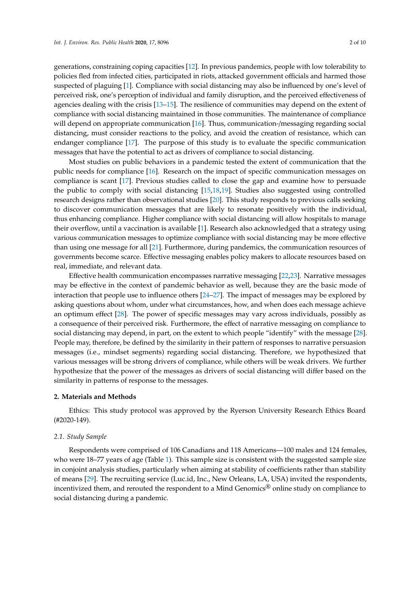generations, constraining coping capacities [\[12\]](#page-8-10). In previous pandemics, people with low tolerability to policies fled from infected cities, participated in riots, attacked government officials and harmed those suspected of plaguing [\[1\]](#page-8-0). Compliance with social distancing may also be influenced by one's level of perceived risk, one's perception of individual and family disruption, and the perceived effectiveness of agencies dealing with the crisis [\[13](#page-8-11)[–15\]](#page-8-12). The resilience of communities may depend on the extent of compliance with social distancing maintained in those communities. The maintenance of compliance will depend on appropriate communication [\[16\]](#page-8-13). Thus, communication-/messaging regarding social distancing, must consider reactions to the policy, and avoid the creation of resistance, which can endanger compliance [\[17\]](#page-8-14). The purpose of this study is to evaluate the specific communication messages that have the potential to act as drivers of compliance to social distancing.

Most studies on public behaviors in a pandemic tested the extent of communication that the public needs for compliance [\[16\]](#page-8-13). Research on the impact of specific communication messages on compliance is scant [\[17\]](#page-8-14). Previous studies called to close the gap and examine how to persuade the public to comply with social distancing [\[15,](#page-8-12)[18,](#page-8-15)[19\]](#page-8-16). Studies also suggested using controlled research designs rather than observational studies [\[20\]](#page-8-17). This study responds to previous calls seeking to discover communication messages that are likely to resonate positively with the individual, thus enhancing compliance. Higher compliance with social distancing will allow hospitals to manage their overflow, until a vaccination is available [\[1\]](#page-8-0). Research also acknowledged that a strategy using various communication messages to optimize compliance with social distancing may be more effective than using one message for all [\[21\]](#page-8-18). Furthermore, during pandemics, the communication resources of governments become scarce. Effective messaging enables policy makers to allocate resources based on real, immediate, and relevant data.

Effective health communication encompasses narrative messaging [\[22](#page-8-19)[,23\]](#page-8-20). Narrative messages may be effective in the context of pandemic behavior as well, because they are the basic mode of interaction that people use to influence others [\[24](#page-9-0)[–27\]](#page-9-1). The impact of messages may be explored by asking questions about whom, under what circumstances, how, and when does each message achieve an optimum effect [\[28\]](#page-9-2). The power of specific messages may vary across individuals, possibly as a consequence of their perceived risk. Furthermore, the effect of narrative messaging on compliance to social distancing may depend, in part, on the extent to which people "identify" with the message [\[28\]](#page-9-2). People may, therefore, be defined by the similarity in their pattern of responses to narrative persuasion messages (i.e., mindset segments) regarding social distancing. Therefore, we hypothesized that various messages will be strong drivers of compliance, while others will be weak drivers. We further hypothesize that the power of the messages as drivers of social distancing will differ based on the similarity in patterns of response to the messages.

## **2. Materials and Methods**

Ethics: This study protocol was approved by the Ryerson University Research Ethics Board (#2020-149).

## *2.1. Study Sample*

Respondents were comprised of 106 Canadians and 118 Americans—100 males and 124 females, who were 18–77 years of age (Table [1\)](#page-2-0). This sample size is consistent with the suggested sample size in conjoint analysis studies, particularly when aiming at stability of coefficients rather than stability of means [\[29\]](#page-9-3). The recruiting service (Luc.id, Inc., New Orleans, LA, USA) invited the respondents, incentivized them, and rerouted the respondent to a Mind Genomics<sup>®</sup> online study on compliance to social distancing during a pandemic.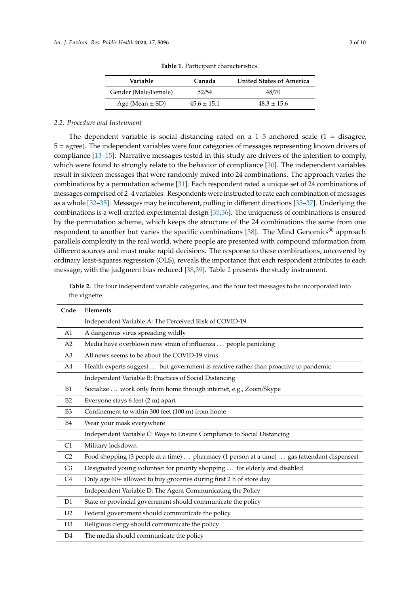<span id="page-2-0"></span>

| Variable             | Canada          | <b>United States of America</b> |
|----------------------|-----------------|---------------------------------|
| Gender (Male/Female) | 52/54           | 48/70                           |
| Age (Mean $\pm$ SD)  | $45.6 \pm 15.1$ | $48.3 \pm 15.6$                 |

**Table 1.** Participant characteristics.

#### *2.2. Procedure and Instrument*

The dependent variable is social distancing rated on a  $1-5$  anchored scale  $(1 - \text{disagree})$ 5 = agree). The independent variables were four categories of messages representing known drivers of compliance [\[13](#page-8-11)[–15\]](#page-8-12). Narrative messages tested in this study are drivers of the intention to comply, which were found to strongly relate to the behavior of compliance [\[30\]](#page-9-4). The independent variables result in sixteen messages that were randomly mixed into 24 combinations. The approach varies the combinations by a permutation scheme [\[31\]](#page-9-5). Each respondent rated a unique set of 24 combinations of messages comprised of 2–4 variables. Respondents were instructed to rate each combination of messages as a whole [\[32–](#page-9-6)[35\]](#page-9-7). Messages may be incoherent, pulling in different directions [\[35](#page-9-7)[–37\]](#page-9-8). Underlying the combinations is a well-crafted experimental design [\[35](#page-9-7)[,36\]](#page-9-9). The uniqueness of combinations is ensured by the permutation scheme, which keeps the structure of the 24 combinations the same from one respondent to another but varies the specific combinations [\[38\]](#page-9-10). The Mind Genomics<sup>®</sup> approach parallels complexity in the real world, where people are presented with compound information from different sources and must make rapid decisions. The response to these combinations, uncovered by ordinary least-squares regression (OLS), reveals the importance that each respondent attributes to each message, with the judgment bias reduced [\[38,](#page-9-10)[39\]](#page-9-11). Table [2](#page-2-1) presents the study instrument.

<span id="page-2-1"></span>**Table 2.** The four independent variable categories, and the four test messages to be incorporated into the vignette.

| Code           | Elements                                                                                     |
|----------------|----------------------------------------------------------------------------------------------|
|                | Independent Variable A: The Perceived Risk of COVID-19                                       |
| A1             | A dangerous virus spreading wildly                                                           |
| A2             | Media have overblown new strain of influenza  people panicking                               |
| A <sub>3</sub> | All news seems to be about the COVID-19 virus                                                |
| A4             | Health experts suggest  but government is reactive rather than proactive to pandemic         |
|                | Independent Variable B: Practices of Social Distancing                                       |
| B1             | Socialize  work only from home through internet, e.g., Zoom/Skype                            |
| B2             | Everyone stays 6 feet (2 m) apart                                                            |
| B <sub>3</sub> | Confinement to within 300 feet (100 m) from home                                             |
| <b>B4</b>      | Wear your mask everywhere                                                                    |
|                | Independent Variable C: Ways to Ensure Compliance to Social Distancing                       |
| C1             | Military lockdown                                                                            |
| C <sub>2</sub> | Food shopping (3 people at a time)  pharmacy (1 person at a time)  gas (attendant dispenses) |
| C <sub>3</sub> | Designated young volunteer for priority shopping  for elderly and disabled                   |
| C <sub>4</sub> | Only age 60+ allowed to buy groceries during first 2 h of store day                          |
|                | Independent Variable D: The Agent Communicating the Policy                                   |
| D <sub>1</sub> | State or provincial government should communicate the policy                                 |
| D2             | Federal government should communicate the policy                                             |
| D <sub>3</sub> | Religious clergy should communicate the policy                                               |
| D <sub>4</sub> | The media should communicate the policy                                                      |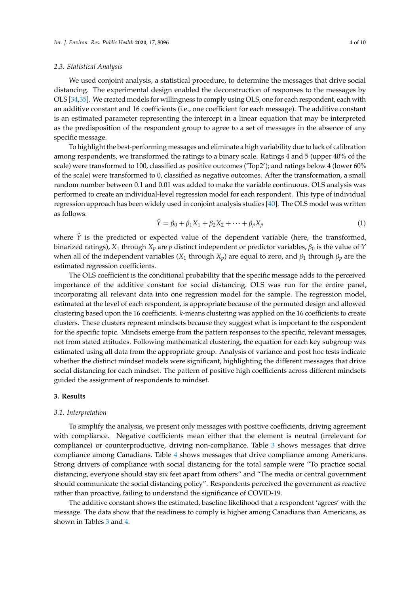#### *2.3. Statistical Analysis*

We used conjoint analysis, a statistical procedure, to determine the messages that drive social distancing. The experimental design enabled the deconstruction of responses to the messages by OLS [\[34,](#page-9-12)[35\]](#page-9-7). We created models for willingness to comply using OLS, one for each respondent, each with an additive constant and 16 coefficients (i.e., one coefficient for each message). The additive constant is an estimated parameter representing the intercept in a linear equation that may be interpreted as the predisposition of the respondent group to agree to a set of messages in the absence of any specific message.

To highlight the best-performing messages and eliminate a high variability due to lack of calibration among respondents, we transformed the ratings to a binary scale. Ratings 4 and 5 (upper 40% of the scale) were transformed to 100, classified as positive outcomes ('Top2'); and ratings below 4 (lower 60% of the scale) were transformed to 0, classified as negative outcomes. After the transformation, a small random number between 0.1 and 0.01 was added to make the variable continuous. OLS analysis was performed to create an individual-level regression model for each respondent. This type of individual regression approach has been widely used in conjoint analysis studies [\[40\]](#page-9-13). The OLS model was written as follows:

$$
\hat{Y} = \beta_0 + \beta_1 X_1 + \beta_2 X_2 + \dots + \beta_p X_p \tag{1}
$$

where  $\hat{Y}$  is the predicted or expected value of the dependent variable (here, the transformed, binarized ratings),  $X_1$  through  $X_p$  are *p* distinct independent or predictor variables,  $\beta_0$  is the value of *Y* when all of the independent variables  $(X_1$  through  $X_p$ ) are equal to zero, and  $\beta_1$  through  $\beta_p$  are the estimated regression coefficients.

The OLS coefficient is the conditional probability that the specific message adds to the perceived importance of the additive constant for social distancing. OLS was run for the entire panel, incorporating all relevant data into one regression model for the sample. The regression model, estimated at the level of each respondent, is appropriate because of the permuted design and allowed clustering based upon the 16 coefficients. *k*-means clustering was applied on the 16 coefficients to create clusters. These clusters represent mindsets because they suggest what is important to the respondent for the specific topic. Mindsets emerge from the pattern responses to the specific, relevant messages, not from stated attitudes. Following mathematical clustering, the equation for each key subgroup was estimated using all data from the appropriate group. Analysis of variance and post hoc tests indicate whether the distinct mindset models were significant, highlighting the different messages that drive social distancing for each mindset. The pattern of positive high coefficients across different mindsets guided the assignment of respondents to mindset.

# **3. Results**

## *3.1. Interpretation*

To simplify the analysis, we present only messages with positive coefficients, driving agreement with compliance. Negative coefficients mean either that the element is neutral (irrelevant for compliance) or counterproductive, driving non-compliance. Table [3](#page-4-0) shows messages that drive compliance among Canadians. Table [4](#page-5-0) shows messages that drive compliance among Americans. Strong drivers of compliance with social distancing for the total sample were "To practice social distancing, everyone should stay six feet apart from others" and "The media or central government should communicate the social distancing policy". Respondents perceived the government as reactive rather than proactive, failing to understand the significance of COVID-19.

The additive constant shows the estimated, baseline likelihood that a respondent 'agrees' with the message. The data show that the readiness to comply is higher among Canadians than Americans, as shown in Tables [3](#page-4-0) and [4.](#page-5-0)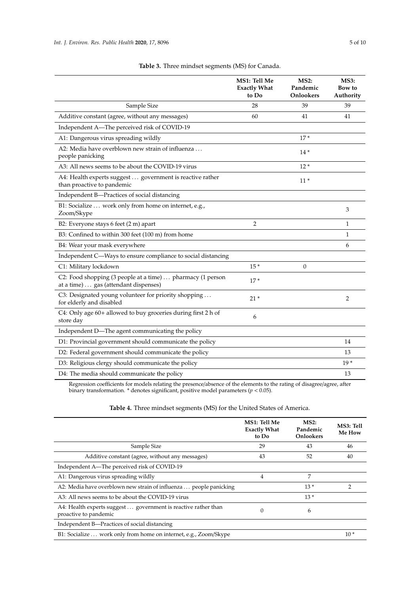<span id="page-4-0"></span>

|                                                                                                     | MS1: Tell Me<br><b>Exactly What</b><br>to Do | <b>MS2:</b><br>Pandemic<br><b>Onlookers</b> | <b>MS3:</b><br>Bow to<br>Authority |
|-----------------------------------------------------------------------------------------------------|----------------------------------------------|---------------------------------------------|------------------------------------|
| Sample Size                                                                                         | 28                                           | 39                                          | 39                                 |
| Additive constant (agree, without any messages)                                                     | 60                                           | 41                                          | 41                                 |
| Independent A-The perceived risk of COVID-19                                                        |                                              |                                             |                                    |
| A1: Dangerous virus spreading wildly                                                                |                                              | $17*$                                       |                                    |
| A2: Media have overblown new strain of influenza<br>people panicking                                |                                              | $14*$                                       |                                    |
| A3: All news seems to be about the COVID-19 virus                                                   |                                              | $12*$                                       |                                    |
| A4: Health experts suggest government is reactive rather<br>than proactive to pandemic              |                                              | $11*$                                       |                                    |
| Independent B-Practices of social distancing                                                        |                                              |                                             |                                    |
| B1: Socialize  work only from home on internet, e.g.,<br>Zoom/Skype                                 |                                              |                                             | 3                                  |
| B2: Everyone stays 6 feet (2 m) apart                                                               | $\overline{2}$                               |                                             | $\mathbf{1}$                       |
| B3: Confined to within 300 feet (100 m) from home                                                   |                                              |                                             | 1                                  |
| B4: Wear your mask everywhere                                                                       |                                              |                                             | 6                                  |
| Independent C—Ways to ensure compliance to social distancing                                        |                                              |                                             |                                    |
| C1: Military lockdown                                                                               | $15*$                                        | $\Omega$                                    |                                    |
| C2: Food shopping (3 people at a time)  pharmacy (1 person<br>at a time)  gas (attendant dispenses) | $17*$                                        |                                             |                                    |
| C3: Designated young volunteer for priority shopping<br>for elderly and disabled                    | $21*$                                        |                                             | 2                                  |
| C4: Only age 60+ allowed to buy groceries during first 2 h of<br>store day                          | 6                                            |                                             |                                    |
| Independent D-The agent communicating the policy                                                    |                                              |                                             |                                    |
| D1: Provincial government should communicate the policy                                             |                                              |                                             | 14                                 |
| D2: Federal government should communicate the policy                                                |                                              |                                             | 13                                 |
| D3: Religious clergy should communicate the policy                                                  |                                              |                                             | $19*$                              |
| D4: The media should communicate the policy                                                         |                                              |                                             | 13                                 |
|                                                                                                     |                                              |                                             |                                    |

**Table 3.** Three mindset segments (MS) for Canada.

Regression coefficients for models relating the presence/absence of the elements to the rating of disagree/agree, after binary transformation. \* denotes significant, positive model parameters (*p* < 0.05).

# **Table 4.** Three mindset segments (MS) for the United States of America.

|                                                                                         | MS1: Tell Me<br><b>Exactly What</b><br>to Do | MS2:<br>Pandemic<br><b>Onlookers</b> | MS3: Tell<br><b>Me How</b> |
|-----------------------------------------------------------------------------------------|----------------------------------------------|--------------------------------------|----------------------------|
| Sample Size                                                                             | 29                                           | 43                                   | 46                         |
| Additive constant (agree, without any messages)                                         | 43                                           | 52                                   | 40                         |
| Independent A-The perceived risk of COVID-19                                            |                                              |                                      |                            |
| A1: Dangerous virus spreading wildly                                                    | 4                                            | 7                                    |                            |
| A2: Media have overblown new strain of influenza  people panicking                      |                                              | $13*$                                | $\mathcal{P}$              |
| A3: All news seems to be about the COVID-19 virus                                       |                                              | $13*$                                |                            |
| A4: Health experts suggest  government is reactive rather than<br>proactive to pandemic |                                              | 6                                    |                            |
| Independent B—Practices of social distancing                                            |                                              |                                      |                            |
| B1: Socialize  work only from home on internet, e.g., Zoom/Skype                        |                                              |                                      | $10*$                      |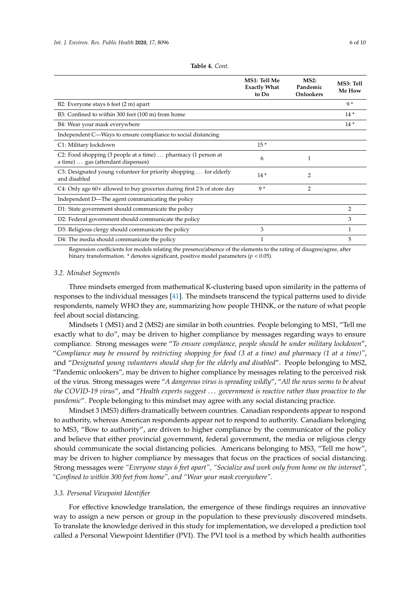<span id="page-5-0"></span>

|                                                                                                     | MS1: Tell Me<br><b>Exactly What</b><br>to Do | MS2:<br>Pandemic<br><b>Onlookers</b> | MS3: Tell<br>Me How |
|-----------------------------------------------------------------------------------------------------|----------------------------------------------|--------------------------------------|---------------------|
| B2: Everyone stays 6 feet (2 m) apart                                                               |                                              |                                      | $Q*$                |
| B3: Confined to within 300 feet (100 m) from home                                                   |                                              |                                      | $14*$               |
| B4: Wear your mask everywhere                                                                       |                                              |                                      | $14*$               |
| Independent C—Ways to ensure compliance to social distancing                                        |                                              |                                      |                     |
| C1: Military lockdown                                                                               | $15*$                                        |                                      |                     |
| C2: Food shopping (3 people at a time)  pharmacy (1 person at<br>a time)  gas (attendant dispenses) | 6                                            | 1                                    |                     |
| C3: Designated young volunteer for priority shopping  for elderly<br>and disabled                   | $14*$                                        | 2                                    |                     |
| $C4$ : Only age $60+$ allowed to buy groceries during first 2 h of store day                        | $9*$                                         | $\overline{2}$                       |                     |
| Independent D—The agent communicating the policy                                                    |                                              |                                      |                     |
| D1: State government should communicate the policy                                                  |                                              |                                      | $\overline{2}$      |
| D2: Federal government should communicate the policy                                                |                                              |                                      | 3                   |
| D3: Religious clergy should communicate the policy                                                  | 3                                            |                                      | 1                   |
| D4: The media should communicate the policy                                                         | 1                                            |                                      | 5                   |

Regression coefficients for models relating the presence/absence of the elements to the rating of disagree/agree, after binary transformation. \* denotes significant, positive model parameters (*p* < 0.05).

## *3.2. Mindset Segments*

Three mindsets emerged from mathematical K-clustering based upon similarity in the patterns of responses to the individual messages [\[41\]](#page-9-14). The mindsets transcend the typical patterns used to divide respondents, namely WHO they are, summarizing how people THINK, or the nature of what people feel about social distancing.

Mindsets 1 (MS1) and 2 (MS2) are similar in both countries. People belonging to MS1, "Tell me exactly what to do", may be driven to higher compliance by messages regarding ways to ensure compliance. Strong messages were "*To ensure compliance, people should be under military lockdown*", "*Compliance may be ensured by restricting shopping for food (3 at a time) and pharmacy (1 at a time)"*, and "*Designated young volunteers should shop for the elderly and disabled*". People belonging to MS2, "Pandemic onlookers", may be driven to higher compliance by messages relating to the perceived risk of the virus. Strong messages were "*A dangerous virus is spreading wildly*", "*All the news seems to be about the COVID-19 virus*", and "*Health experts suggest* . . . *government is reactive rather than proactive to the pandemic*". People belonging to this mindset may agree with any social distancing practice.

Mindset 3 (MS3) differs dramatically between countries. Canadian respondents appear to respond to authority, whereas American respondents appear not to respond to authority. Canadians belonging to MS3, "Bow to authority", are driven to higher compliance by the communicator of the policy and believe that either provincial government, federal government, the media or religious clergy should communicate the social distancing policies. Americans belonging to MS3, "Tell me how", may be driven to higher compliance by messages that focus on the practices of social distancing. Strong messages were *"Everyone stays 6 feet apart", "Socialize and work only from home on the internet", "Confined to within 300 feet from home", and "Wear your mask everywhere".*

#### *3.3. Personal Viewpoint Identifier*

For effective knowledge translation, the emergence of these findings requires an innovative way to assign a new person or group in the population to these previously discovered mindsets. To translate the knowledge derived in this study for implementation, we developed a prediction tool called a Personal Viewpoint Identifier (PVI). The PVI tool is a method by which health authorities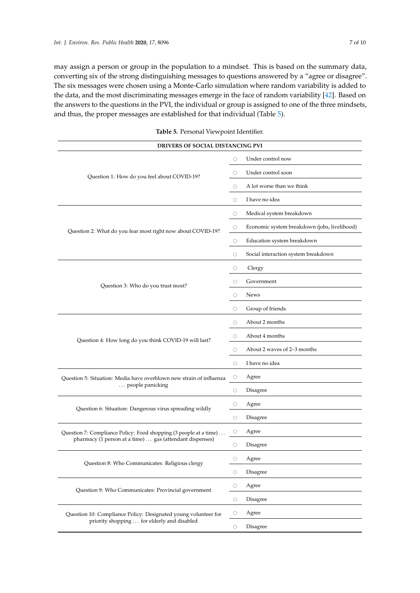may assign a person or group in the population to a mindset. This is based on the summary data, converting six of the strong distinguishing messages to questions answered by a "agree or disagree". The six messages were chosen using a Monte-Carlo simulation where random variability is added to the data, and the most discriminating messages emerge in the face of random variability [\[42\]](#page-9-15). Based on the answers to the questions in the PVI, the individual or group is assigned to one of the three mindsets, and thus, the proper messages are established for that individual (Table [5\)](#page-6-0).

<span id="page-6-0"></span>

| <b>DRIVERS OF SOCIAL DISTANCING PVI</b>                             |         |                                              |  |
|---------------------------------------------------------------------|---------|----------------------------------------------|--|
| Question 1: How do you feel about COVID-19?                         | $\circ$ | Under control now                            |  |
|                                                                     | О       | Under control soon                           |  |
|                                                                     | $\circ$ | A lot worse than we think                    |  |
|                                                                     | $\circ$ | I have no idea                               |  |
|                                                                     |         | Medical system breakdown                     |  |
| Question 2: What do you fear most right now about COVID-19?         | $\circ$ | Economic system breakdown (jobs, livelihood) |  |
|                                                                     | О       | Education system breakdown                   |  |
|                                                                     | $\circ$ | Social interaction system breakdown          |  |
|                                                                     | $\circ$ | Clergy                                       |  |
| Question 3: Who do you trust most?                                  | O       | Government                                   |  |
|                                                                     | $\circ$ | <b>News</b>                                  |  |
|                                                                     | $\circ$ | Group of friends                             |  |
|                                                                     |         | About 2 months                               |  |
| Question 4: How long do you think COVID-19 will last?               | $\circ$ | About 4 months                               |  |
|                                                                     | $\circ$ | About 2 waves of 2-3 months                  |  |
|                                                                     | $\circ$ | I have no idea                               |  |
| Question 5: Situation: Media have overblown new strain of influenza | О       | Agree                                        |  |
| people panicking                                                    |         | Disagree                                     |  |
| Question 6: Situation: Dangerous virus spreading wildly             |         | Agree                                        |  |
|                                                                     | $\circ$ | Disagree                                     |  |
| Question 7: Compliance Policy: Food shopping (3 people at a time)   | O       | Agree                                        |  |
| pharmacy (1 person at a time)  gas (attendant dispenses)            | О       | Disagree                                     |  |
| Question 8: Who Communicates: Religious clergy                      | $\circ$ | Agree                                        |  |
|                                                                     | $\circ$ | Disagree                                     |  |
| Question 9: Who Communicates: Provincial government                 | $\circ$ | Agree                                        |  |
|                                                                     | $\circ$ | Disagree                                     |  |
| Question 10: Compliance Policy: Designated young volunteer for      |         | Agree                                        |  |
| priority shopping  for elderly and disabled                         | $\circ$ | Disagree                                     |  |

**Table 5.** Personal Viewpoint Identifier.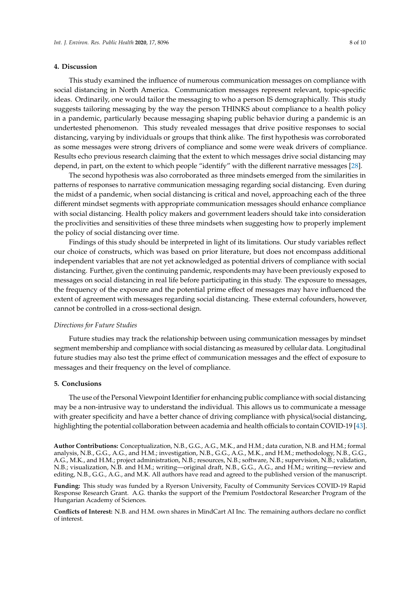## **4. Discussion**

This study examined the influence of numerous communication messages on compliance with social distancing in North America. Communication messages represent relevant, topic-specific ideas. Ordinarily, one would tailor the messaging to who a person IS demographically. This study suggests tailoring messaging by the way the person THINKS about compliance to a health policy in a pandemic, particularly because messaging shaping public behavior during a pandemic is an undertested phenomenon. This study revealed messages that drive positive responses to social distancing, varying by individuals or groups that think alike. The first hypothesis was corroborated as some messages were strong drivers of compliance and some were weak drivers of compliance. Results echo previous research claiming that the extent to which messages drive social distancing may depend, in part, on the extent to which people "identify" with the different narrative messages [\[28\]](#page-9-2).

The second hypothesis was also corroborated as three mindsets emerged from the similarities in patterns of responses to narrative communication messaging regarding social distancing. Even during the midst of a pandemic, when social distancing is critical and novel, approaching each of the three different mindset segments with appropriate communication messages should enhance compliance with social distancing. Health policy makers and government leaders should take into consideration the proclivities and sensitivities of these three mindsets when suggesting how to properly implement the policy of social distancing over time.

Findings of this study should be interpreted in light of its limitations. Our study variables reflect our choice of constructs, which was based on prior literature, but does not encompass additional independent variables that are not yet acknowledged as potential drivers of compliance with social distancing. Further, given the continuing pandemic, respondents may have been previously exposed to messages on social distancing in real life before participating in this study. The exposure to messages, the frequency of the exposure and the potential prime effect of messages may have influenced the extent of agreement with messages regarding social distancing. These external cofounders, however, cannot be controlled in a cross-sectional design.

#### *Directions for Future Studies*

Future studies may track the relationship between using communication messages by mindset segment membership and compliance with social distancing as measured by cellular data. Longitudinal future studies may also test the prime effect of communication messages and the effect of exposure to messages and their frequency on the level of compliance.

## **5. Conclusions**

The use of the Personal Viewpoint Identifier for enhancing public compliance with social distancing may be a non-intrusive way to understand the individual. This allows us to communicate a message with greater specificity and have a better chance of driving compliance with physical/social distancing, highlighting the potential collaboration between academia and health officials to contain COVID-19 [\[43\]](#page-9-16).

**Author Contributions:** Conceptualization, N.B., G.G., A.G., M.K., and H.M.; data curation, N.B. and H.M.; formal analysis, N.B., G.G., A.G., and H.M.; investigation, N.B., G.G., A.G., M.K., and H.M.; methodology, N.B., G.G., A.G., M.K., and H.M.; project administration, N.B.; resources, N.B.; software, N.B.; supervision, N.B.; validation, N.B.; visualization, N.B. and H.M.; writing—original draft, N.B., G.G., A.G., and H.M.; writing—review and editing, N.B., G.G., A.G., and M.K. All authors have read and agreed to the published version of the manuscript.

**Funding:** This study was funded by a Ryerson University, Faculty of Community Services COVID-19 Rapid Response Research Grant. A.G. thanks the support of the Premium Postdoctoral Researcher Program of the Hungarian Academy of Sciences.

**Conflicts of Interest:** N.B. and H.M. own shares in MindCart AI Inc. The remaining authors declare no conflict of interest.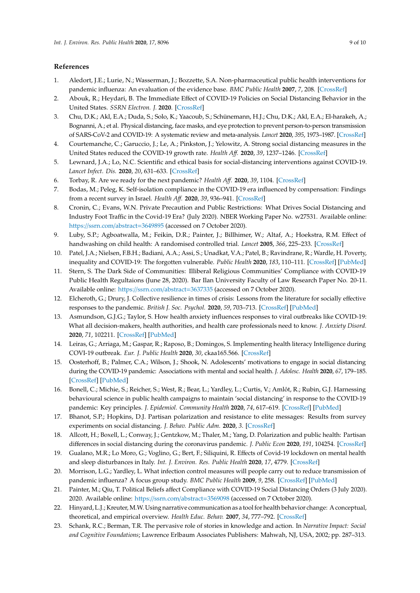# **References**

- <span id="page-8-0"></span>1. Aledort, J.E.; Lurie, N.; Wasserman, J.; Bozzette, S.A. Non-pharmaceutical public health interventions for pandemic influenza: An evaluation of the evidence base. *BMC Public Health* **2007**, *7*, 208. [\[CrossRef\]](http://dx.doi.org/10.1186/1471-2458-7-208)
- <span id="page-8-1"></span>2. Abouk, R.; Heydari, B. The Immediate Effect of COVID-19 Policies on Social Distancing Behavior in the United States. *SSRN Electron. J.* **2020**. [\[CrossRef\]](http://dx.doi.org/10.2139/ssrn.3571421)
- 3. Chu, D.K.; Akl, E.A.; Duda, S.; Solo, K.; Yaacoub, S.; Schünemann, H.J.; Chu, D.K.; Akl, E.A.; El-harakeh, A.; Bognanni, A.; et al. Physical distancing, face masks, and eye protection to prevent person-to-person transmission of SARS-CoV-2 and COVID-19: A systematic review and meta-analysis. *Lancet* **2020**, *395*, 1973–1987. [\[CrossRef\]](http://dx.doi.org/10.1016/S0140-6736(20)31142-9)
- <span id="page-8-4"></span>4. Courtemanche, C.; Garuccio, J.; Le, A.; Pinkston, J.; Yelowitz, A. Strong social distancing measures in the United States reduced the COVID-19 growth rate. *Health A*ff*.* **2020**, *39*, 1237–1246. [\[CrossRef\]](http://dx.doi.org/10.1377/hlthaff.2020.00608)
- <span id="page-8-2"></span>5. Lewnard, J.A.; Lo, N.C. Scientific and ethical basis for social-distancing interventions against COVID-19. *Lancet Infect. Dis.* **2020**, *20*, 631–633. [\[CrossRef\]](http://dx.doi.org/10.1016/S1473-3099(20)30190-0)
- <span id="page-8-3"></span>6. Torbay, R. Are we ready for the next pandemic? *Health A*ff*.* **2020**, *39*, 1104. [\[CrossRef\]](http://dx.doi.org/10.1377/hlthaff.2020.00467)
- <span id="page-8-5"></span>7. Bodas, M.; Peleg, K. Self-isolation compliance in the COVID-19 era influenced by compensation: Findings from a recent survey in Israel. *Health A*ff*.* **2020**, *39*, 936–941. [\[CrossRef\]](http://dx.doi.org/10.1377/hlthaff.2020.00382)
- <span id="page-8-6"></span>8. Cronin, C.; Evans, W.N. Private Precaution and Public Restrictions: What Drives Social Distancing and Industry Foot Traffic in the Covid-19 Era? (July 2020). NBER Working Paper No. w27531. Available online: https://[ssrn.com](https://ssrn.com/abstract=3649895)/abstract=3649895 (accessed on 7 October 2020).
- <span id="page-8-7"></span>9. Luby, S.P.; Agboatwalla, M.; Feikin, D.R.; Painter, J.; Billhimer, W.; Altaf, A.; Hoekstra, R.M. Effect of handwashing on child health: A randomised controlled trial. *Lancet* **2005**, *366*, 225–233. [\[CrossRef\]](http://dx.doi.org/10.1016/S0140-6736(05)66912-7)
- <span id="page-8-8"></span>10. Patel, J.A.; Nielsen, F.B.H.; Badiani, A.A.; Assi, S.; Unadkat, V.A.; Patel, B.; Ravindrane, R.; Wardle, H. Poverty, inequality and COVID-19: The forgotten vulnerable. *Public Health* **2020**, *183*, 110–111. [\[CrossRef\]](http://dx.doi.org/10.1016/j.puhe.2020.05.006) [\[PubMed\]](http://www.ncbi.nlm.nih.gov/pubmed/32502699)
- <span id="page-8-9"></span>11. Stern, S. The Dark Side of Communities: Illiberal Religious Communities' Compliance with COVID-19 Public Health Regultaions (June 28, 2020). Bar Ilan University Faculty of Law Research Paper No. 20-11. Available online: https://[ssrn.com](https://ssrn.com/abstract=3637335)/abstract=3637335 (accessed on 7 October 2020).
- <span id="page-8-10"></span>12. Elcheroth, G.; Drury, J. Collective resilience in times of crisis: Lessons from the literature for socially effective responses to the pandemic. *British J. Soc. Psychol.* **2020**, *59*, 703–713. [\[CrossRef\]](http://dx.doi.org/10.1111/bjso.12403) [\[PubMed\]](http://www.ncbi.nlm.nih.gov/pubmed/32584480)
- <span id="page-8-11"></span>13. Asmundson, G.J.G.; Taylor, S. How health anxiety influences responses to viral outbreaks like COVID-19: What all decision-makers, health authorities, and health care professionals need to know. *J. Anxiety Disord.* **2020**, *71*, 102211. [\[CrossRef\]](http://dx.doi.org/10.1016/j.janxdis.2020.102211) [\[PubMed\]](http://www.ncbi.nlm.nih.gov/pubmed/32179380)
- 14. Leiras, G.; Arriaga, M.; Gaspar, R.; Raposo, B.; Domingos, S. Implementing health literacy Intelligence during COVI-19 outbreak. *Eur. J. Public Health* **2020**, *30*, ckaa165.566. [\[CrossRef\]](http://dx.doi.org/10.1093/eurpub/ckaa165.566)
- <span id="page-8-12"></span>15. Oosterhoff, B.; Palmer, C.A.; Wilson, J.; Shook, N. Adolescents' motivations to engage in social distancing during the COVID-19 pandemic: Associations with mental and social health. *J. Adolesc. Health* **2020**, *67*, 179–185. [\[CrossRef\]](http://dx.doi.org/10.1016/j.jadohealth.2020.05.004) [\[PubMed\]](http://www.ncbi.nlm.nih.gov/pubmed/32487491)
- <span id="page-8-13"></span>16. Bonell, C.; Michie, S.; Reicher, S.; West, R.; Bear, L.; Yardley, L.; Curtis, V.; Amlôt, R.; Rubin, G.J. Harnessing behavioural science in public health campaigns to maintain 'social distancing' in response to the COVID-19 pandemic: Key principles. *J. Epidemiol. Community Health* **2020**, *74*, 617–619. [\[CrossRef\]](http://dx.doi.org/10.1136/jech-2020-214290) [\[PubMed\]](http://www.ncbi.nlm.nih.gov/pubmed/32385125)
- <span id="page-8-14"></span>17. Bhanot, S.P.; Hopkins, D.J. Partisan polarization and resistance to elite messages: Results from survey experiments on social distancing. *J. Behav. Public Adm.* **2020**, *3*. [\[CrossRef\]](http://dx.doi.org/10.30636/jbpa.32.178)
- <span id="page-8-15"></span>18. Allcott, H.; Boxell, L.; Conway, J.; Gentzkow, M.; Thaler, M.; Yang, D. Polarization and public health: Partisan differences in social distancing during the coronavirus pandemic. *J. Public Econ* **2020**, *191*, 104254. [\[CrossRef\]](http://dx.doi.org/10.1016/j.jpubeco.2020.104254)
- <span id="page-8-16"></span>19. Gualano, M.R.; Lo Moro, G.; Voglino, G.; Bert, F.; Siliquini, R. Effects of Covid-19 lockdown on mental health and sleep disturbances in Italy. *Int. J. Environ. Res. Public Health* **2020**, *17*, 4779. [\[CrossRef\]](http://dx.doi.org/10.3390/ijerph17134779)
- <span id="page-8-17"></span>20. Morrison, L.G.; Yardley, L. What infection control measures will people carry out to reduce transmission of pandemic influenza? A focus group study. *BMC Public Health* **2009**, *9*, 258. [\[CrossRef\]](http://dx.doi.org/10.1186/1471-2458-9-258) [\[PubMed\]](http://www.ncbi.nlm.nih.gov/pubmed/19627568)
- <span id="page-8-18"></span>21. Painter, M.; Qiu, T. Political Beliefs affect Compliance with COVID-19 Social Distancing Orders (3 July 2020). 2020. Available online: https://[ssrn.com](https://ssrn.com/abstract=3569098)/abstract=3569098 (accessed on 7 October 2020).
- <span id="page-8-19"></span>22. Hinyard, L.J.; Kreuter,M.W. Using narrative communication as a tool for health behavior change: A conceptual, theoretical, and empirical overview. *Health Educ. Behav.* **2007**, *34*, 777–792. [\[CrossRef\]](http://dx.doi.org/10.1177/1090198106291963)
- <span id="page-8-20"></span>23. Schank, R.C.; Berman, T.R. The pervasive role of stories in knowledge and action. In *Narrative Impact: Social and Cognitive Foundations*; Lawrence Erlbaum Associates Publishers: Mahwah, NJ, USA, 2002; pp. 287–313.